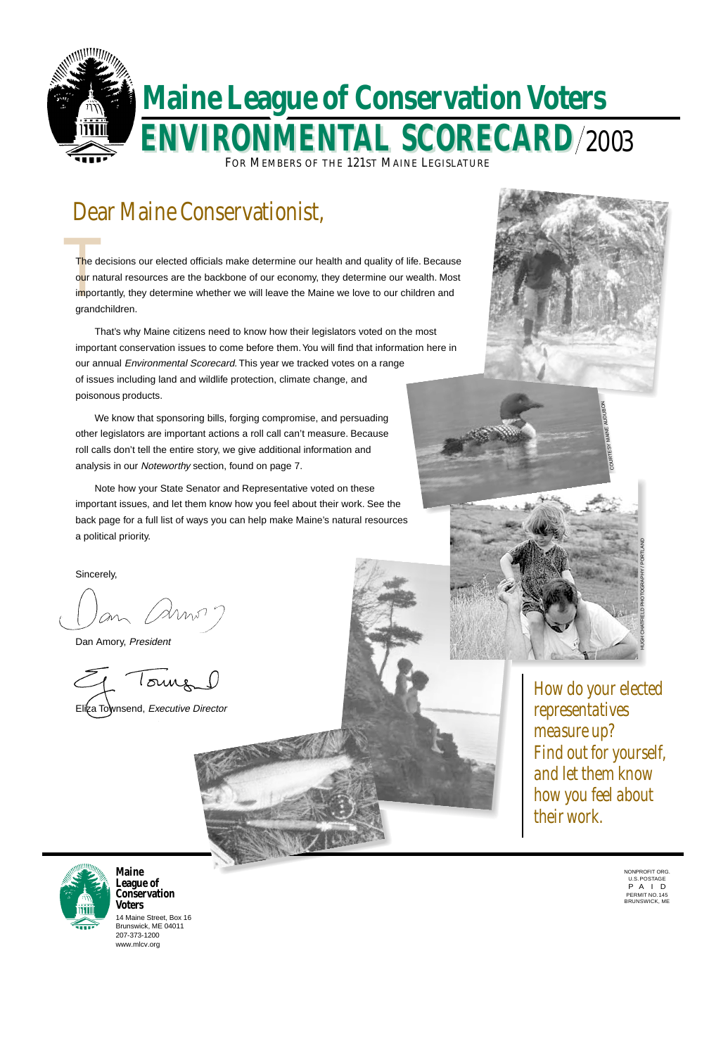# Dear Maine Conservationist,



14 Maine Street, Box 16 Brunswick, ME 04011 207-373-1200 www.mlcv.org

**Maine League of Conservation Voters**

The de<br>our nat<br>importa<br>grande The decisions our elected officials make determine our health and quality of life. Because our natural resources are the backbone of our economy, they determine our wealth. Most importantly, they determine whether we will leave the Maine we love to our children and grandchildren.

> *How do your elected representatives measure up? Find out for yourself, and let them know how you feel about*



# *their work.*

NONPROFIT ORG. U.S. POSTAGE P A I D PERMIT NO. 145 BRUNSWICK, ME

That's why Maine citizens need to know how their legislators voted on the most important conservation issues to come before them. You will find that information here in our annual Environmental Scorecard. This year we tracked votes on a range of issues including land and wildlife protection, climate change, and poisonous products.

We know that sponsoring bills, forging compromise, and persuading other legislators are important actions a roll call can't measure. Because roll calls don't tell the entire story, we give additional information and analysis in our Noteworthy section, found on page 7.

Note how your State Senator and Representative voted on these important issues, and let them know how you feel about their work. See the back page for a full list of ways you can help make Maine's natural resources a political priority.

Sincerely,

Dan Amory, President

1 Tours 0 Elica Townsend, Executive Director



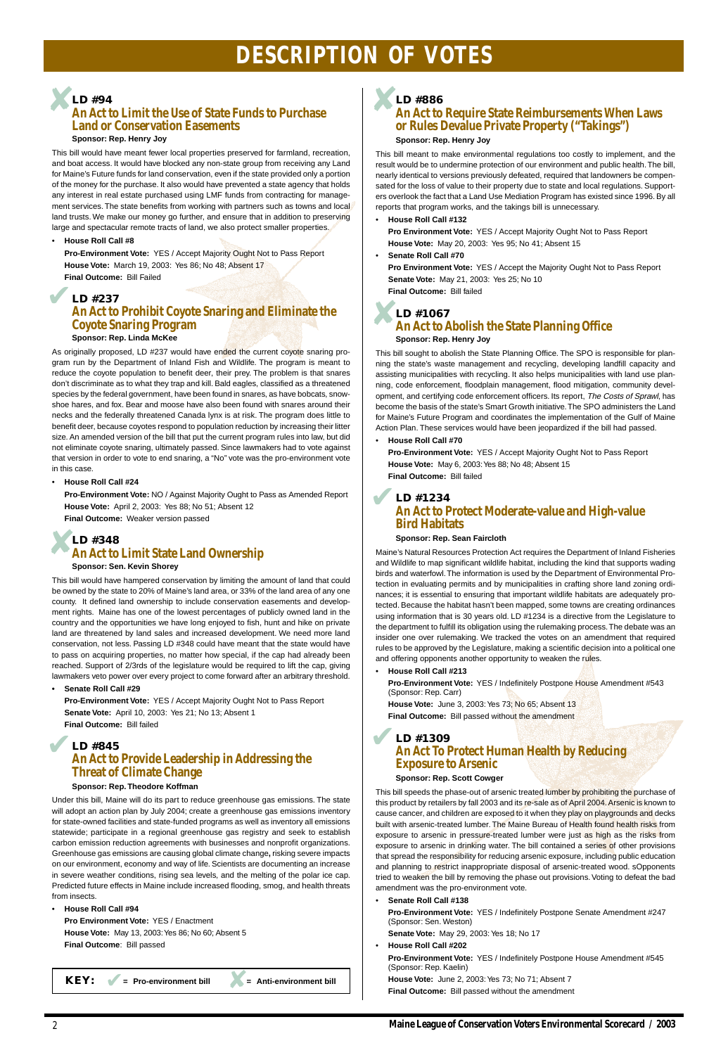# **DESCRIPTION OF VOTES**

2

This bill would have meant fewer local properties preserved for farmland, recreation, and boat access. It would have blocked any non-state group from receiving any Land for Maine's Future funds for land conservation, even if the state provided only a portion of the money for the purchase. It also would have prevented a state agency that holds any interest in real estate purchased using LMF funds from contracting for management services. The state benefits from working with partners such as towns and local land trusts. We make our money go further, and ensure that in addition to preserving large and spectacular remote tracts of land, we also protect smaller properties.

### **Sponsor: Rep. Henry Joy**

# **LD #237 An Act to Prohibit Coyote Snaring and Eliminate the Coyote Snaring Program** LD #237<br>An Act to Prohibit Coyote Snaring and Eliminate the<br>Coyote Snaring Program

#### • **House Roll Call #8**

**Pro-Environment Vote:** YES / Accept Majority Ought Not to Pass Report **House Vote:** March 19, 2003: Yes 86; No 48; Absent 17 **Final Outcome:** Bill Failed

As originally proposed, LD #237 would have ended the current coyote snaring program run by the Department of Inland Fish and Wildlife. The program is meant to reduce the coyote population to benefit deer, their prey. The problem is that snares don't discriminate as to what they trap and kill. Bald eagles, classified as a threatened species by the federal government, have been found in snares, as have bobcats, snowshoe hares, and fox. Bear and moose have also been found with snares around their necks and the federally threatened Canada lynx is at risk. The program does little to benefit deer, because coyotes respond to population reduction by increasing their litter size. An amended version of the bill that put the current program rules into law, but did not eliminate coyote snaring, ultimately passed. Since lawmakers had to vote against that version in order to vote to end snaring, a "No" vote was the pro-environment vote in this case.

**Sponsor: Rep. Linda McKee**

# **LD #845 An Act to Provide Leadership in Addressing the Threat of Climate Change** Final Outcome: Bill failed<br>
LD #845<br>
An Act to Provide Leadership in Addressing the

### • **House Roll Call #24**

**Pro-Environment Vote:** NO / Against Majority Ought to Pass as Amended Report **House Vote:** April 2, 2003: Yes 88; No 51; Absent 12 **Final Outcome:** Weaker version passed

This bill would have hampered conservation by limiting the amount of land that could be owned by the state to 20% of Maine's land area, or 33% of the land area of any one county. It defined land ownership to include conservation easements and development rights. Maine has one of the lowest percentages of publicly owned land in the country and the opportunities we have long enjoyed to fish, hunt and hike on private land are threatened by land sales and increased development. We need more land conservation, not less. Passing LD #348 could have meant that the state would have to pass on acquiring properties, no matter how special, if the cap had already been reached. Support of 2/3rds of the legislature would be required to lift the cap, giving lawmakers veto power over every project to come forward after an arbitrary threshold.

**• Senate Roll Call #29**

**Pro-Environment Vote:** YES / Accept Majority Ought Not to Pass Report **Senate Vote:** April 10, 2003: Yes 21; No 13; Absent 1 **Final Outcome:** Bill failed

# **Sponsor: Rep. Theodore Koffman**

Under this bill, Maine will do its part to reduce greenhouse gas emissions. The state will adopt an action plan by July 2004; create a greenhouse gas emissions inventory for state-owned facilities and state-funded programs as well as inventory all emissions statewide; participate in a regional greenhouse gas registry and seek to establish carbon emission reduction agreements with businesses and nonprofit organizations. Greenhouse gas emissions are causing global climate change**,** risking severe impacts on our environment, economy and way of life. Scientists are documenting an increase in severe weather conditions, rising sea levels, and the melting of the polar ice cap. Predicted future effects in Maine include increased flooding, smog, and health threats from insects.

• **House Roll Call #94**

**Pro Environment Vote:** YES / Enactment **House Vote:** May 13, 2003: Yes 86; No 60; Absent 5 **Final Outcome**: Bill passed

**KEY:**  $\bullet$  **=** Pro-environment bill  $\bullet$  **=** Anti-environment bill

### **LD #94 An Act to Limit the Use of State Funds to Purchase Land or Conservation Easements** ✘

### **An Act to Require State Reimbursements When Laws or Rules Devalue Private Property ("Takings") Sponsor: Rep. Henry Joy**

This bill meant to make environmental regulations too costly to implement, and the result would be to undermine protection of our environment and public health. The bill, nearly identical to versions previously defeated, required that landowners be compensated for the loss of value to their property due to state and local regulations. Supporters overlook the fact that a Land Use Mediation Program has existed since 1996. By all reports that program works, and the takings bill is unnecessary.

• **House Roll Call #132**

**Pro Environment Vote:** YES / Accept Majority Ought Not to Pass Report **House Vote:** May 20, 2003: Yes 95; No 41; Absent 15

• **Senate Roll Call #70**

**Pro Environment Vote:** YES / Accept the Majority Ought Not to Pass Report **Senate Vote:** May 21, 2003: Yes 25; No 10 **Final Outcome:** Bill failed

### **LD #1067 An Act to Abolish the State Planning Office Sponsor: Rep. Henry Joy**

### **LD #348 An Act to Limit State Land Ownership Sponsor: Sen. Kevin Shorey** ✘

This bill sought to abolish the State Planning Office. The SPO is responsible for planning the state's waste management and recycling, developing landfill capacity and assisting municipalities with recycling. It also helps municipalities with land use planning, code enforcement, floodplain management, flood mitigation, community development, and certifying code enforcement officers. Its report, The Costs of Sprawl, has become the basis of the state's Smart Growth initiative. The SPO administers the Land for Maine's Future Program and coordinates the implementation of the Gulf of Maine Action Plan. These services would have been jeopardized if the bill had passed.

• **House Roll Call #70**

**Pro-Environment Vote:** YES / Accept Majority Ought Not to Pass Report **House Vote:** May 6, 2003: Yes 88; No 48; Absent 15 **Final Outcome:** Bill failed

### **Sponsor: Rep. Sean Faircloth**

**LD #886** ✘

Maine's Natural Resources Protection Act requires the Department of Inland Fisheries and Wildlife to map significant wildlife habitat, including the kind that supports wading birds and waterfowl. The information is used by the Department of Environmental Protection in evaluating permits and by municipalities in crafting shore land zoning ordinances; it is essential to ensuring that important wildlife habitats are adequately protected. Because the habitat hasn't been mapped, some towns are creating ordinances using information that is 30 years old. LD #1234 is a directive from the Legislature to the department to fulfill its obligation using the rulemaking process. The debate was an insider one over rulemaking. We tracked the votes on an amendment that required rules to be approved by the Legislature, making a scientific decision into a political one and offering opponents another opportunity to weaken the rules.

• **House Roll Call #213**

**Pro-Environment Vote:** YES / Indefinitely Postpone House Amendment #543 (Sponsor: Rep. Carr)

**House Vote:** June 3, 2003: Yes 73; No 65; Absent 13 **Final Outcome:** Bill passed without the amendment

# **LD #1309 An Act To Protect Human Health by Reducing Exposure to Arsenic**

### **LD #1234 An Act to Protect Moderate-value and High-value Bird Habitats** ✔

**Sponsor: Rep. Scott Cowger**

This bill speeds the phase-out of arsenic treated lumber by prohibiting the purchase of

this product by retailers by fall 2003 and its re-sale as of April 2004. Arsenic is known to cause cancer, and children are exposed to it when they play on playgrounds and decks built with arsenic-treated lumber. The Maine Bureau of Health found health risks from exposure to arsenic in pressure-treated lumber were just as high as the risks from exposure to arsenic in drinking water. The bill contained a series of other provisions that spread the responsibility for reducing arsenic exposure, including public education and planning to restrict inappropriate disposal of arsenic-treated wood. sOpponents tried to weaken the bill by removing the phase out provisions. Voting to defeat the bad amendment was the pro-environment vote.

• **Senate Roll Call #138**

**Pro-Environment Vote:** YES / Indefinitely Postpone Senate Amendment #247 (Sponsor: Sen. Weston)

**Senate Vote:** May 29, 2003: Yes 18; No 17

• **House Roll Call #202**

**Pro-Environment Vote:** YES / Indefinitely Postpone House Amendment #545 (Sponsor: Rep. Kaelin)

**House Vote:** June 2, 2003: Yes 73; No 71; Absent 7

**Final Outcome:** Bill passed without the amendment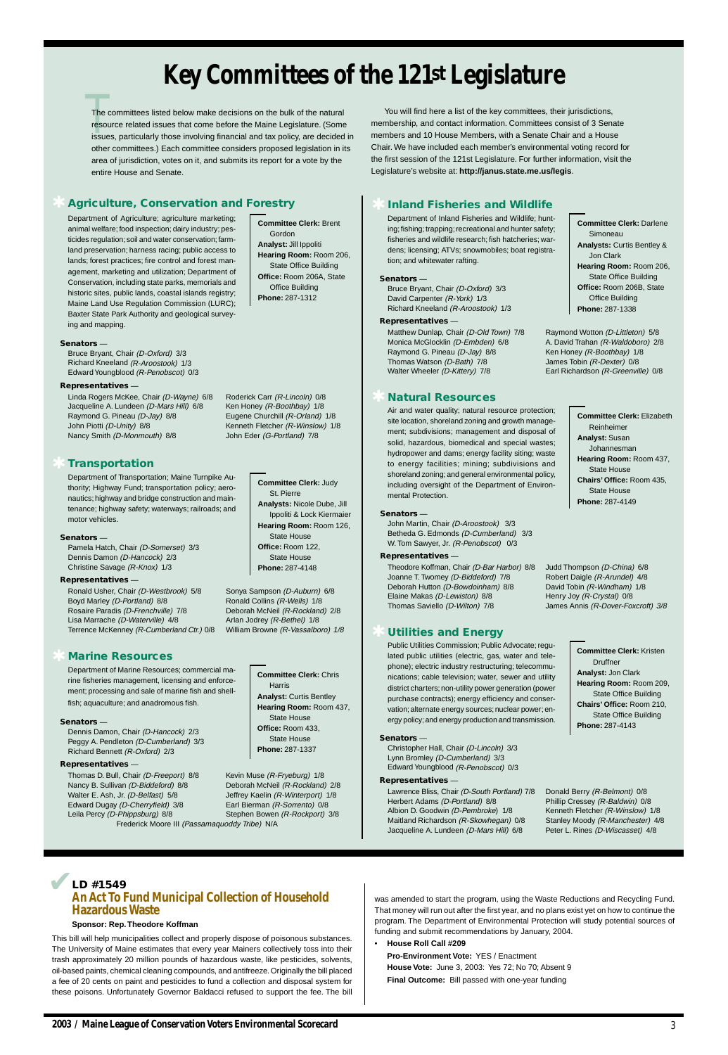# **Key Committees of the 121st Legislature**

### **Senators** —

Bruce Bryant, Chair (D-Oxford) 3/3 David Carpenter (R-York) 1/3 Richard Kneeland (R-Aroostook) 1/3

### **Representatives** —

Matthew Dunlap, Chair (D-Old Town) 7/8 Raymond Wotton (D-Littleton) 5/8 Monica McGlocklin (D-Embden) 6/8 A. David Trahan (R-Waldoboro) 2/8 Raymond G. Pineau (D-Jay) 8/8 Ken Honey (R-Boothbay) 1/8 Thomas Watson (D-Bath) 7/8 James Tobin (R-Dexter) 0/8 Walter Wheeler (D-Kittery) 7/8 Earl Richardson (R-Greenville) 0/8

John Martin, Chair (D-Aroostook) 3/3 Betheda G. Edmonds (D-Cumberland) 3/3 W. Tom Sawyer, Jr. (R-Penobscot) 0/3

### ✱ **Inland Fisheries and Wildlife**

Department of Inland Fisheries and Wildlife; hunting; fishing; trapping; recreational and hunter safety; fisheries and wildlife research; fish hatcheries; wardens; licensing; ATVs; snowmobiles; boat registration; and whitewater rafting.

### **Senators** —

### **Representatives** —

Linda Rogers McKee, Chair (D-Wayne) 6/8 Roderick Carr (R-Lincoln) 0/8 Jacqueline A. Lundeen (D-Mars Hill) 6/8 Ken Honey (R-Boothbay) 1/8 Raymond G. Pineau (D-Jay) 8/8 Eugene Churchill (R-Orland) 1/8 John Piotti (D-Unity) 8/8 Kenneth Fletcher (R-Winslow) 1/8 Nancy Smith (D-Monmouth) 8/8 John Eder (G-Portland) 7/8

> Theodore Koffman, Chair (D-Bar Harbor) 8/8 Judd Thompson (D-China) 6/8 Joanne T. Twomey (D-Biddeford) 7/8 Robert Daigle (R-Arundel) 4/8 Deborah Hutton (D-Bowdoinham) 8/8 David Tobin (R-Windham) 1/8 Elaine Makas (D-Lewiston) 8/8 Henry Joy (R-Crystal) 0/8 Thomas Saviello (D-Wilton) 7/8 James Annis (R-Dover-Foxcroft) 3/8

### ✱ **Natural Resources**

Air and water quality; natural resource protection; site location, shoreland zoning and growth management; subdivisions; management and disposal of solid, hazardous, biomedical and special wastes; hydropower and dams; energy facility siting; waste to energy facilities; mining; subdivisions and shoreland zoning; and general environmental policy, including oversight of the Department of Environmental Protection.

Ronald Usher, Chair (D-Westbrook) 5/8 Sonya Sampson (D-Auburn) 6/8 Boyd Marley (D-Portland) 8/8 Ronald Collins (R-Wells) 1/8 Rosaire Paradis (D-Frenchville) 7/8 Deborah McNeil (R-Rockland) 2/8 Lisa Marrache (D-Waterville) 4/8 Arlan Jodrey (R-Bethel) 1/8 Terrence McKenney (R-Cumberland Ctr.) 0/8 William Browne (R-Vassalboro) 1/8

### **Senators** —

Bruce Bryant, Chair (D-Oxford) 3/3 Richard Kneeland (R-Aroostook) 1/3 Edward Youngblood (R-Penobscot) 0/3

#### **Representatives** —

Department of Agriculture; agriculture marketing; animal welfare; food inspection; dairy industry; pesticides regulation; soil and water conservation; farmland preservation; harness racing; public access to lands; forest practices; fire control and forest management, marketing and utilization; Department of Conservation, including state parks, memorials and historic sites, public lands, coastal islands registry; Maine Land Use Regulation Commission (LURC); Baxter State Park Authority and geological surveying and mapping.

**Committee Clerk:** Brent Gordon **Analyst:** Jill Ippoliti **Hearing Room:** Room 206, State Office Building **Office:** Room 206A, State Office Building **Phone:** 287-1312

### ✱ **Agriculture, Conservation and Forestry**

### **Senators** —

Pamela Hatch, Chair (D-Somerset) 3/3 Dennis Damon (D-Hancock) 2/3 Christine Savage (R-Knox) 1/3

### **Representatives** —

### ✱ **Transportation**

Department of Transportation; Maine Turnpike Authority; Highway Fund; transportation policy; aeronautics; highway and bridge construction and maintenance; highway safety; waterways; railroads; and motor vehicles.

**Committee Clerk:** Judy

St. Pierre

**Analysts:** Nicole Dube, Jill Ippoliti & Lock Kiermaier State House

**Hearing Room:** Room 126,

**Office:** Room 122, State House **Phone:** 287-4148

**Committee Clerk:** Darlene Simoneau **Analysts:** Curtis Bentley & Jon Clark **Hearing Room:** Room 206, State Office Building **Office:** Room 206B, State Office Building **Phone:** 287-1338

The committees listed below make decisions on the bulk of the natural<br>resource related issues that come before the Maine Legislature. (Some<br>issues, particularly those involving financial and tax policy, are decided in The committees listed below make decisions on the bulk of the natural resource related issues that come before the Maine Legislature. (Some other committees.) Each committee considers proposed legislation in its area of jurisdiction, votes on it, and submits its report for a vote by the entire House and Senate.

> **Committee Clerk:** Elizabeth Reinheimer **Analyst:** Susan Johannesman **Hearing Room:** Room 437, State House **Chairs' Office:** Room 435, State House **Phone:** 287-4149

You will find here a list of the key committees, their jurisdictions, membership, and contact information. Committees consist of 3 Senate members and 10 House Members, with a Senate Chair and a House Chair. We have included each member's environmental voting record for the first session of the 121st Legislature. For further information, visit the Legislature's website at: **http://janus.state.me.us/legis**.

### **Senators** —

Dennis Damon, Chair (D-Hancock) 2/3 Peggy A. Pendleton (D-Cumberland) 3/3 Richard Bennett (R-Oxford) 2/3

### **Representatives** —

Thomas D. Bull, Chair (D-Freeport) 8/8 Kevin Muse (R-Fryeburg) 1/8 Nancy B. Sullivan (D-Biddeford) 8/8 Deborah McNeil (R-Rockland) 2/8

Edward Dugay (D-Cherryfield) 3/8 Earl Bierman (R-Sorrento) 0/8 Leila Percy (D-Phippsburg) 8/8 Stephen Bowen (R-Rockport) 3/8 Frederick Moore III (Passamaquoddy Tribe) N/A

### ✱ **Marine Resources**

Department of Marine Resources; commercial marine fisheries management, licensing and enforcement; processing and sale of marine fish and shellfish; aquaculture; and anadromous fish.

**Committee Clerk:** Chris Harris **Analyst:** Curtis Bentley **Hearing Room:** Room 437, State House **Office:** Room 433, State House **Phone:** 287-1337

Walter E. Ash, Jr. (D-Belfast) 5/8 Jeffrey Kaelin (R-Winterport) 1/8

### **Senators** —

Christopher Hall, Chair (D-Lincoln) 3/3 Lynn Bromley (D-Cumberland) 3/3 Edward Youngblood (R-Penobscot) 0/3

### **Representatives** —

Lawrence Bliss, Chair (D-South Portland) 7/8 Donald Berry (R-Belmont) 0/8 Herbert Adams (D-Portland) 8/8 Phillip Cressey (R-Baldwin) 0/8 Albion D. Goodwin (D-Pembroke) 1/8 Kenneth Fletcher (R-Winslow) 1/8 Maitland Richardson (R-Skowhegan) 0/8 Stanley Moody (R-Manchester) 4/8 Jacqueline A. Lundeen (D-Mars Hill) 6/8 Peter L. Rines (D-Wiscasset) 4/8

## ✱ **Utilities and Energy**

Public Utilities Commission; Public Advocate; regulated public utilities (electric, gas, water and telephone); electric industry restructuring; telecommunications; cable television; water, sewer and utility district charters; non-utility power generation (power purchase contracts); energy efficiency and conservation; alternate energy sources; nuclear power; energy policy; and energy production and transmission.

**Committee Clerk:** Kristen Druffner **Analyst:** Jon Clark **Hearing Room:** Room 209, State Office Building **Chairs' Office:** Room 210, State Office Building **Phone:** 287-4143

### **Sponsor: Rep. Theodore Koffman**

This bill will help municipalities collect and properly dispose of poisonous substances. The University of Maine estimates that every year Mainers collectively toss into their trash approximately 20 million pounds of hazardous waste, like pesticides, solvents, oil-based paints, chemical cleaning compounds, and antifreeze. Originally the bill placed a fee of 20 cents on paint and pesticides to fund a collection and disposal system for these poisons. Unfortunately Governor Baldacci refused to support the fee. The bill

### **LD #1549 An Act To Fund Municipal Collection of Household Hazardous Waste** ✔

was amended to start the program, using the Waste Reductions and Recycling Fund. That money will run out after the first year, and no plans exist yet on how to continue the program. The Department of Environmental Protection will study potential sources of funding and submit recommendations by January, 2004.

• **House Roll Call #209**

**Pro-Environment Vote:** YES / Enactment **House Vote:** June 3, 2003: Yes 72; No 70; Absent 9 **Final Outcome:** Bill passed with one-year funding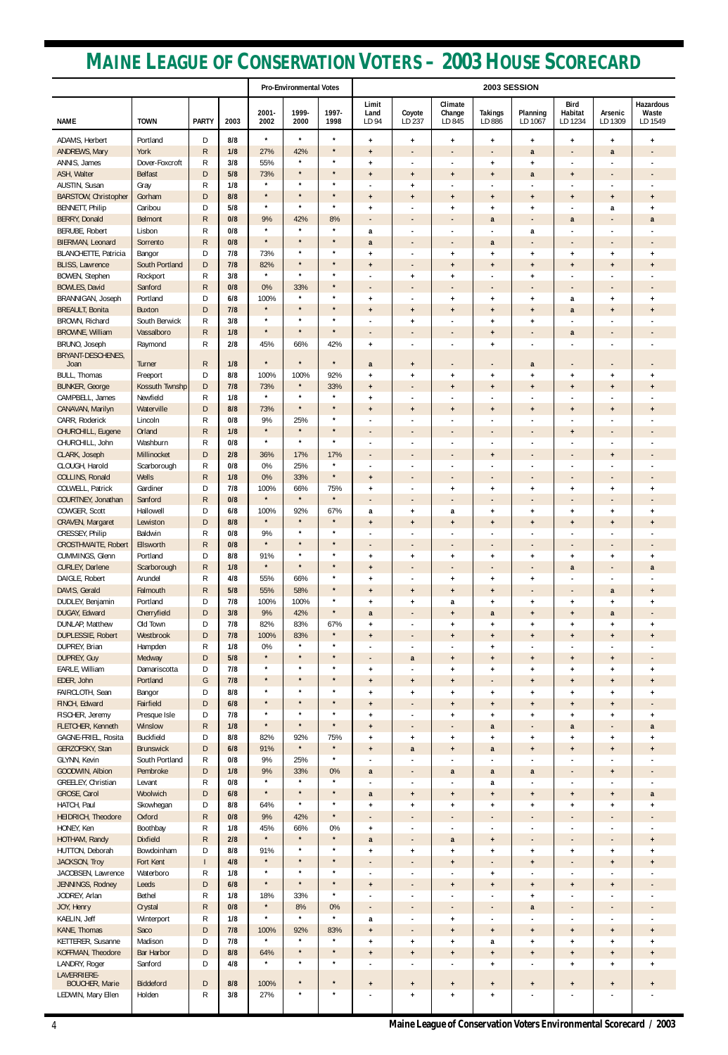| <b>Pro-Environmental Votes</b>                                                                                                                                                                                                                                                                                                                       | 2003 SESSION                         |  |  |  |  |  |  |
|------------------------------------------------------------------------------------------------------------------------------------------------------------------------------------------------------------------------------------------------------------------------------------------------------------------------------------------------------|--------------------------------------|--|--|--|--|--|--|
| Limit<br>Climate<br><b>Bird</b><br>1999-<br>2001-<br>1997-<br>Habitat<br>Coyote<br>Change<br><b>Takings</b><br>Planning<br>Arsenic<br>Land<br>LD 237<br><b>NAME</b><br><b>TOWN</b><br><b>PARTY</b><br>2003<br>2002<br>2000<br>1998<br>LD 845<br>LD 886<br>LD 1067<br>LD 1234<br>LD 1309<br>LD 94                                                     | <b>Hazardous</b><br>Waste<br>LD 1549 |  |  |  |  |  |  |
| $\star$<br>$\star$<br>$\star$<br>ADAMS, Herbert<br>Portland<br>D<br>8/8<br>$\ddot{}$<br>$+$<br>$\ddot{\phantom{1}}$<br>$+$<br>$\ddot{}$<br>$\ddot{}$<br>$\ddot{}$                                                                                                                                                                                    | $\ddot{}$                            |  |  |  |  |  |  |
| York<br>ANDREWS, Mary<br>R.<br>1/8<br>27%<br>42%<br>$\star$<br>a<br>a<br>$+$<br>$\overline{\phantom{a}}$<br>$\overline{\phantom{a}}$<br>$\overline{\phantom{a}}$<br>$\overline{\phantom{a}}$                                                                                                                                                         | $\overline{\phantom{a}}$             |  |  |  |  |  |  |
| ANNIS, James<br>55%<br>$\star$<br>R<br>3/8<br>$\star$<br>Dover-Foxcroft<br>$\ddot{}$<br>$+$<br>$\ddot{}$<br>ASH, Walter<br>$\star$<br>Belfast<br>5/8<br>73%<br>$\star$<br>D                                                                                                                                                                          |                                      |  |  |  |  |  |  |
| $\ddot{}$<br>a<br>$\ddot{}$<br>$+$<br>$\overline{1}$<br>$\ddot{}$<br>$\star$<br>$\star$<br>AUSTIN, Susan<br>R<br>1/8<br>$\star$<br>Gray<br>$\ddot{}$<br>$\blacksquare$<br>$\blacksquare$                                                                                                                                                             |                                      |  |  |  |  |  |  |
| $\star$<br>$\star$<br><b>BARSTOW, Christopher</b><br>Gorham<br>8/8<br>D<br>$\star$<br>$\ddot{}$<br>$+$<br>$\ddot{}$<br>$\ddot{}$<br>$\ddot{}$<br>$\ddot{}$<br>$+$                                                                                                                                                                                    | $\ddot{}$                            |  |  |  |  |  |  |
| $\star$<br>$\star$<br><b>BENNETT, Philip</b><br>Caribou<br>D<br>5/8<br>$\star$<br>$\ddot{}$<br>$\ddot{}$<br>a<br>$\ddot{}$<br>$\ddot{}$                                                                                                                                                                                                              | $\ddot{}$                            |  |  |  |  |  |  |
| <b>BERRY, Donald</b><br><b>Belmont</b><br>$\mathsf{R}$<br>0/8<br>9%<br>8%<br>42%<br>a<br>a<br>$\overline{\phantom{a}}$<br>$\overline{\phantom{a}}$<br>$\star$<br>$\star$<br>$\star$                                                                                                                                                                  | a                                    |  |  |  |  |  |  |
| BERUBE, Robert<br>Lisbon<br>R<br>0/8<br>a<br>a<br>÷<br>$\blacksquare$<br>٠<br>٠<br>$\star$<br>$\star$<br>BIERMAN, Leonard<br>0/8<br>$\star$<br>Sorrento<br>R<br>a<br>a<br>$\overline{\phantom{a}}$<br>$\overline{\phantom{a}}$<br>$\overline{\phantom{a}}$<br>$\overline{\phantom{a}}$<br>$\overline{\phantom{a}}$                                   | $\qquad \qquad \blacksquare$         |  |  |  |  |  |  |
| <b>BLANCHETTE, Patricia</b><br>D<br>7/8<br>73%<br>$\star$<br>$\star$<br>Bangor<br>$+$<br>$\ddot{}$<br>$\ddot{}$<br>$\ddot{}$<br>$\ddot{}$<br>$\ddot{}$                                                                                                                                                                                               | $\ddot{}$                            |  |  |  |  |  |  |
| $\star$<br><b>BLISS, Lawrence</b><br>South Portland<br>7/8<br>82%<br>$\star$<br>D<br>$\ddot{}$<br>$\ddot{}$<br>$\ddot{\phantom{1}}$<br>$\ddot{}$<br>$\overline{1}$<br>$\ddot{}$                                                                                                                                                                      | $\ddot{}$                            |  |  |  |  |  |  |
| $\star$<br>3/8<br>$\star$<br>BOWEN, Stephen<br>Rockport<br>R<br>$\star$<br>$+$<br>$\overline{1}$<br>$\ddot{}$<br>$\blacksquare$                                                                                                                                                                                                                      |                                      |  |  |  |  |  |  |
| <b>BOWLES, David</b><br>Sanford<br>0/8<br>0%<br>33%<br>R.<br>$\star$<br>$\qquad \qquad \blacksquare$<br>$\overline{\phantom{a}}$<br>$\overline{\phantom{a}}$<br>$\overline{\phantom{a}}$<br>$\overline{\phantom{0}}$<br>$\star$<br>$\star$                                                                                                           | $\overline{\phantom{a}}$             |  |  |  |  |  |  |
| BRANNIGAN, Joseph<br>Portland<br>D<br>6/8<br>100%<br>$\ddot{}$<br>$\ddot{\phantom{1}}$<br>$\ddot{}$<br>$\ddot{}$<br>a<br>$\ddot{}$<br>$\star$<br>$\star$<br><b>BREAULT, Bonita</b><br><b>Buxton</b><br>7/8<br>$\star$<br>D<br>a<br>$+$<br>$+$<br>$\ddot{}$<br>$\ddot{}$<br>$\ddot{}$<br>$\ddot{}$                                                    | $\ddot{}$<br>$+$                     |  |  |  |  |  |  |
| BROWN, Richard<br>South Berwick<br>3/8<br>$\star$<br>$\star$<br>R<br>$\star$<br>$\ddot{}$<br>$+$<br>$\ddot{}$                                                                                                                                                                                                                                        |                                      |  |  |  |  |  |  |
| $\star$<br>$\star$<br><b>BROWNE, William</b><br>Vassalboro<br>$\star$<br>R.<br>1/8<br>a<br>$\pmb{+}$<br>$\overline{\phantom{a}}$<br>$\overline{\phantom{a}}$<br>$\overline{\phantom{a}}$<br>$\overline{\phantom{a}}$<br>$\overline{\phantom{a}}$                                                                                                     |                                      |  |  |  |  |  |  |
| BRUNO, Joseph<br>R<br>2/8<br>45%<br>66%<br>42%<br>Raymond<br>$\ddag$<br>$\ddot{}$                                                                                                                                                                                                                                                                    |                                      |  |  |  |  |  |  |
| BRYANT-DESCHENES,<br>$\star$<br>$\star$<br>$\star$<br>$\mathsf{R}$<br>1/8<br>Joan<br>Turner<br>a<br>$\ddot{}$<br>a<br>-                                                                                                                                                                                                                              |                                      |  |  |  |  |  |  |
| BULL, Thomas<br>D<br>8/8<br>100%<br>100%<br>92%<br>Freeport<br>$\pmb{+}$<br>$\pmb{+}$<br>$\ddot{}$<br>$\ddot{}$<br>$\overline{1}$<br>$\ddot{}$<br>$\ddot{}$                                                                                                                                                                                          | $\ddot{\phantom{1}}$                 |  |  |  |  |  |  |
| $\star$<br><b>BUNKER, George</b><br>D<br>7/8<br>73%<br>33%<br>Kossuth Twnshp<br>$+$<br>$+$<br>$\ddot{\phantom{1}}$<br>$\ddot{\phantom{1}}$<br>$\ddot{}$<br>$\ddot{\phantom{1}}$                                                                                                                                                                      | $\ddot{}$                            |  |  |  |  |  |  |
| $\star$<br>$\star$<br>$\star$<br>CAMPBELL, James<br>Newfield<br>R<br>1/8<br>$\ddot{}$<br>÷,<br>$\star$                                                                                                                                                                                                                                               |                                      |  |  |  |  |  |  |
| CANAVAN, Marilyn<br>Waterville<br>D<br>8/8<br>73%<br>$\star$<br>$\ddot{}$<br>$+$<br>$\pmb{+}$<br>$\ddot{}$<br>$\overline{1}$<br>$\ddot{}$<br>$\ddot{}$<br>9%<br>$\star$<br>CARR, Roderick<br>Lincoln<br>R<br>0/8<br>25%<br>÷,                                                                                                                        | $\ddot{}$                            |  |  |  |  |  |  |
| CHURCHILL, Eugene<br>Orland<br>$\mathsf{R}$<br>1/8<br>$\star$<br>$\star$<br>$\star$<br>$+$<br>$\overline{\phantom{0}}$                                                                                                                                                                                                                               |                                      |  |  |  |  |  |  |
| $\star$<br>$\star$<br>Washburn<br>CHURCHILL, John<br>R<br>0/8<br>$\star$<br>÷,                                                                                                                                                                                                                                                                       |                                      |  |  |  |  |  |  |
| CLARK, Joseph<br>Millinocket<br>D<br>2/8<br>17%<br>36%<br>17%<br>$+$<br>$\ddot{}$<br>$\overline{\phantom{a}}$<br>$\overline{\phantom{a}}$<br>٠<br>٠                                                                                                                                                                                                  |                                      |  |  |  |  |  |  |
| R<br>0%<br>25%<br>$\star$<br>CLOUGH, Harold<br>Scarborough<br>0/8<br>$\star$                                                                                                                                                                                                                                                                         |                                      |  |  |  |  |  |  |
| COLLINS, Ronald<br>Wells<br>${\sf R}$<br>1/8<br>0%<br>33%<br>7/8<br>100%<br>66%<br>COLWELL, Patrick<br>Gardiner<br>D<br>75%<br>$\ddot{}$<br>$\ddot{\phantom{1}}$<br>$\ddot{}$<br>$\ddot{}$<br>$\ddot{}$<br>$\ddot{}$                                                                                                                                 | $\ddot{}$                            |  |  |  |  |  |  |
| $\star$<br>$\star$<br>$\star$<br>0/8<br>COURTNEY, Jonathan<br>Sanford<br>R<br>$\qquad \qquad \blacksquare$                                                                                                                                                                                                                                           |                                      |  |  |  |  |  |  |
| COWGER, Scott<br>Hallowell<br>6/8<br>92%<br>67%<br>D<br>100%<br>a<br>a<br>$\ddot{}$<br>$+$<br>$+$<br>$\ddot{}$<br>$\ddot{}$                                                                                                                                                                                                                          | $\ddot{}$                            |  |  |  |  |  |  |
| $\star$<br>$\star$<br>$\star$<br>CRAVEN, Margaret<br>Lewiston<br>$\mathsf{D}$<br>8/8<br>$\ddot{}$<br>$+$<br>$\ddot{}$<br>$+$<br>$\ddot{}$<br>$\ddot{}$<br>$\ddot{}$                                                                                                                                                                                  | $\ddot{}$                            |  |  |  |  |  |  |
| Baldwin<br>$\star$<br>CRESSEY, Philip<br>0/8<br>9%<br>$\star$<br>R<br>$\star$<br>$\star$<br><b>CROSTHWAITE, Robert</b><br>Ellsworth<br>0/8<br>$\star$                                                                                                                                                                                                |                                      |  |  |  |  |  |  |
| $\mathsf{R}$<br>$\qquad \qquad \blacksquare$<br>$\centerdot$<br>$\overline{\phantom{a}}$<br>$\overline{\phantom{a}}$<br>$\star$<br>CUMMINGS, Glenn<br>Portland<br>D<br>8/8<br>91%<br>$\star$<br>$\ddot{\phantom{1}}$<br>$\pm$<br>$\ddot{}$<br>$\ddot{}$<br>$\ddot{\phantom{1}}$<br>$\ddot{}$<br>$\ddot{}$                                            | $\pmb{+}$                            |  |  |  |  |  |  |
| $\star$<br>$\star$<br>CURLEY, Darlene<br>$\mathsf{R}$<br>1/8<br>$\star$<br>Scarborough<br>a<br>$+$<br>$\overline{\phantom{a}}$<br>٠<br>$\overline{\phantom{a}}$                                                                                                                                                                                      | a                                    |  |  |  |  |  |  |
| DAIGLE, Robert<br>Arundel<br>R<br>4/8<br>55%<br>$\star$<br>66%<br>$+$<br>$\ddot{}$<br>$\ddot{}$<br>$\overline{+}$                                                                                                                                                                                                                                    |                                      |  |  |  |  |  |  |
| DAVIS, Gerald<br>$\star$<br>Falmouth<br>$\mathsf{R}$<br>5/8<br>55%<br>58%<br>$\ddot{}$<br>$\ddot{}$<br>$\ddot{}$<br>a<br>$\overline{1}$<br>$\star$                                                                                                                                                                                                   | $\ddot{}$                            |  |  |  |  |  |  |
| DUDLEY, Benjamin<br>Portland<br>D<br>7/8<br>100%<br>100%<br>a<br>$\ddot{}$<br>$+$<br>$+$<br>$\ddot{}$<br>$\ddot{}$<br>$\ddot{}$<br>$\star$<br>DUGAY, Edward<br>Cherryfield<br>3/8<br>9%<br>42%<br>D<br>a<br>a<br>$\overline{1}$<br>$\ddot{}$<br>$+$<br>a<br>٠                                                                                        | $\ddot{}$                            |  |  |  |  |  |  |
| 82%<br>DUNLAP, Matthew<br>Old Town<br>7/8<br>83%<br>D<br>67%<br>$\ddot{}$<br>$\ddot{}$<br>$\ddot{}$<br>$\overline{1}$<br>$\ddot{}$<br>$\ddot{}$                                                                                                                                                                                                      | $\ddot{}$                            |  |  |  |  |  |  |
| $\star$<br><b>DUPLESSIE, Robert</b><br>Westbrook<br>7/8<br>100%<br>83%<br>D<br>$\ddot{}$<br>$\ddot{}$<br>$\ddot{}$<br>$\ddot{}$<br>$\ddot{\phantom{1}}$<br>$\ddot{}$<br>$\qquad \qquad \blacksquare$                                                                                                                                                 | $\ddot{}$                            |  |  |  |  |  |  |
| $\star$<br>$\star$<br>DUPREY, Brian<br>R<br>1/8<br>0%<br>Hampden<br>$+$                                                                                                                                                                                                                                                                              |                                      |  |  |  |  |  |  |
| DUPREY, Guy<br>5/8<br>$\star$<br>$\star$<br>$\star$<br>Medway<br>D<br>a<br>$\ddot{\phantom{1}}$<br>$\ddot{}$<br>$\ddot{}$<br>$\ddot{}$<br>$+$<br>$\star$<br>$\star$<br>EARLE, William<br>Damariscotta<br>7/8<br>$^{\star}$<br>D<br>$\ddot{}$<br>$\ddot{}$<br>$\ddot{}$<br>$\overline{1}$<br>$\ddot{}$                                                |                                      |  |  |  |  |  |  |
| $+$<br>EDER, John<br>Portland<br>7/8<br>$\star$<br>$\star$<br>G<br>$\star$<br>$\ddot{}$<br>$+$<br>$\overline{1}$<br>$\ddot{}$<br>$+$<br>$\ddot{+}$<br>$\qquad \qquad \blacksquare$                                                                                                                                                                   | $\ddot{}$<br>$\ddot{}$               |  |  |  |  |  |  |
| $\star$<br>$\star$<br>$\star$<br>FAIRCLOTH, Sean<br>8/8<br>Bangor<br>D<br>$\ddot{}$<br>$\pm$<br>$\ddot{}$<br>$\ddot{}$<br>$\overline{1}$<br>$\ddot{}$<br>$\ddot{}$                                                                                                                                                                                   | $\ddot{}$                            |  |  |  |  |  |  |
| FINCH, Edward<br>Fairfield<br>$\mathsf{D}$<br>6/8<br>$\star$<br>$\star$<br>$\star$<br>$+$<br>$\ddot{}$<br>$+$<br>$\ddot{}$<br>$+$<br>$\ddot{}$                                                                                                                                                                                                       |                                      |  |  |  |  |  |  |
| $\star$<br>$\star$<br>FISCHER, Jeremy<br>7/8<br>Presque Isle<br>D<br>$\star$<br>$\ddot{}$<br>$\ddot{}$<br>$+$<br>$\overline{1}$<br>$\ddot{}$<br>$\ddot{}$<br>÷,<br>$\star$<br>$\star$<br>$\star$                                                                                                                                                     | $\ddot{}$                            |  |  |  |  |  |  |
| FLETCHER, Kenneth<br>Winslow<br>$\mathsf{R}$<br>1/8<br>$\ddot{}$<br>a<br>a<br>$\qquad \qquad \blacksquare$<br>$\qquad \qquad \blacksquare$<br>$\qquad \qquad \blacksquare$<br>Buckfield<br>GAGNE-FRIEL, Rosita<br>D<br>8/8<br>82%<br>92%<br>75%<br>$+$<br>$\pmb{+}$<br>$\ddot{}$<br>$+$<br>$\ddot{\phantom{1}}$<br>$\ddot{\phantom{1}}$<br>$\ddot{}$ | a<br>$\pmb{+}$                       |  |  |  |  |  |  |
| $\star$<br>GERZOFSKY, Stan<br>6/8<br>91%<br>$\star$<br><b>Brunswick</b><br>D<br>$\ddot{}$<br>a<br>a<br>$\ddot{\phantom{1}}$<br>$\ddot{}$<br>$+$<br>$+$                                                                                                                                                                                               | $\ddot{}$                            |  |  |  |  |  |  |
| $\star$<br>GLYNN, Kevin<br>South Portland<br>R<br>0/8<br>9%<br>25%<br>÷,                                                                                                                                                                                                                                                                             |                                      |  |  |  |  |  |  |
| GOODWIN, Albion<br>Pembroke<br>D<br>1/8<br>9%<br>33%<br>0%<br>a<br>a<br>a<br>a<br>$\ddot{+}$                                                                                                                                                                                                                                                         |                                      |  |  |  |  |  |  |
| $\star$<br>$\star$<br>$\star$<br>GREELEY, Christian<br>R<br>0/8<br>Levant<br>a<br>$\star$<br>$\star$<br>GROSE, Carol<br>Woolwich<br>D<br>6/8<br>$\star$<br>a<br>$+$<br>$\ddot{}$<br>$+$<br>$\ddot{}$<br>$+$<br>$\ddot{}$                                                                                                                             | a                                    |  |  |  |  |  |  |
| HATCH, Paul<br>$\star$<br>Skowhegan<br>8/8<br>$\star$<br>D<br>64%<br>$+$<br>$\ddot{}$<br>$+$<br>$\overline{1}$<br>$\ddot{}$<br>$\ddot{}$<br>$\ddot{}$                                                                                                                                                                                                | $\ddot{}$                            |  |  |  |  |  |  |
| 9%<br>HEIDRICH, Theodore<br>Oxford<br>$\mathsf{R}$<br>0/8<br>42%<br>$\star$<br>$\qquad \qquad \blacksquare$<br>$\qquad \qquad \blacksquare$<br>$\overline{\phantom{a}}$<br>$\overline{\phantom{a}}$<br>$\overline{\phantom{a}}$<br>$\overline{\phantom{a}}$                                                                                          |                                      |  |  |  |  |  |  |
| HONEY, Ken<br>1/8<br>45%<br>66%<br>Boothbay<br>R<br>0%<br>$\ddot{}$<br>÷,<br>٠                                                                                                                                                                                                                                                                       |                                      |  |  |  |  |  |  |
| $\star$<br>$\star$<br>$\star$<br>HOTHAM, Randy<br><b>Dixfield</b><br>$\mathsf{R}$<br>2/8<br>a<br>a<br>$+$<br>$\overline{\phantom{a}}$<br>$\overline{\phantom{a}}$<br>$\star$<br>$^\star$                                                                                                                                                             | $\ddot{}$                            |  |  |  |  |  |  |
| HUTTON, Deborah<br>Bowdoinham<br>8/8<br>91%<br>D<br>$\ddot{}$<br>$\ddot{}$<br>$\ddot{\phantom{1}}$<br>$+$<br>$\ddot{}$<br>$\ddot{}$<br>$\ddot{}$<br>4/8<br>$\star$<br>$\star$<br>JACKSON, Troy<br>Fort Kent<br>$\star$<br>$\mathsf{L}$<br>$\overline{1}$<br>$\ddot{\phantom{1}}$                                                                     | $\ddot{}$                            |  |  |  |  |  |  |
| $\ddot{}$<br>$\star$<br>$\star$<br>$\star$<br>R<br>JACOBSEN, Lawrence<br>Waterboro<br>1/8<br>÷.                                                                                                                                                                                                                                                      | $\ddot{}$                            |  |  |  |  |  |  |
| $\star$<br>JENNINGS, Rodney<br>D<br>6/8<br>$\star$<br>$\star$<br>Leeds<br>$\ddot{}$<br>$\ddot{}$<br>$+$<br>$\ddot{}$<br>$\ddot{}$<br>$\ddot{}$                                                                                                                                                                                                       |                                      |  |  |  |  |  |  |
| JODREY, Arlan<br>Bethel<br>R<br>1/8<br>18%<br>$\star$<br>33%<br>$\ddot{}$<br>٠                                                                                                                                                                                                                                                                       |                                      |  |  |  |  |  |  |
| $\star$<br>JOY, Henry<br>Crystal<br>$\mathsf{R}$<br>0/8<br>8%<br>0%<br>a<br>$\overline{\phantom{a}}$<br>$\overline{\phantom{a}}$<br>٠<br>$\overline{\phantom{a}}$<br>٠<br>٠<br>$\star$<br>$\star$<br>$\star$                                                                                                                                         | $\qquad \qquad \blacksquare$         |  |  |  |  |  |  |
| KAELIN, Jeff<br>Winterport<br>R<br>1/8<br>a<br>$\ddot{\phantom{1}}$<br>$\overline{\phantom{a}}$<br>$\overline{\phantom{a}}$<br>$\overline{\phantom{a}}$<br>KANE, Thomas<br>Saco<br>D<br>7/8<br>100%<br>92%<br>83%<br>$+$<br>$\ddot{\phantom{1}}$<br>$\ddot{\phantom{1}}$<br>$\ddot{}$<br>$\ddot{}$<br>$+$<br>٠                                       | $\ddot{}$                            |  |  |  |  |  |  |
| $\star$<br>$\star$<br>$\star$<br>KETTERER, Susanne<br>Madison<br>D<br>7/8<br>a<br>$\ddot{}$<br>$+$<br>$+$<br>$\ddot{}$<br>$\ddot{}$<br>$\ddot{\phantom{1}}$                                                                                                                                                                                          | $\ddot{}$                            |  |  |  |  |  |  |
| $\star$<br>KOFFMAN, Theodore<br><b>Bar Harbor</b><br>$\mathsf D$<br>8/8<br>$\star$<br>64%<br>$\ddot{}$<br>$\ddot{}$<br>$\ddot{\phantom{1}}$<br>$\pm$<br>$\pmb{+}$<br>$\pmb{+}$<br>$\ddot{}$                                                                                                                                                          | $\ddot{}$                            |  |  |  |  |  |  |
| $\star$<br>$\star$<br>$\star$<br>LANDRY, Roger<br>Sanford<br>D<br>4/8<br>$+$<br>$\ddot{}$<br>$\ddot{}$<br>$\blacksquare$<br>÷,<br>÷,<br>÷,                                                                                                                                                                                                           | $\pmb{+}$                            |  |  |  |  |  |  |
| LAVERRIERE-<br>Biddeford<br>$\star$<br>$\star$<br><b>BOUCHER, Marie</b><br>$\mathsf{D}$<br>8/8<br>100%<br>$\pm$<br>$+$<br>$+$<br>$+$<br>$\ddot{}$<br>$+$<br>$+$                                                                                                                                                                                      | $\ddot{}$                            |  |  |  |  |  |  |
| 27%<br>LEDWIN, Mary Ellen<br>Holden<br>R<br>3/8<br>$\star$<br>$^\star$<br>$+$<br>$\ddot{\phantom{1}}$<br>$+$<br>٠                                                                                                                                                                                                                                    |                                      |  |  |  |  |  |  |

# **MAINE LEAGUE OF CONSERVATION VOTERS – 2003 HOUSE SCORECARD**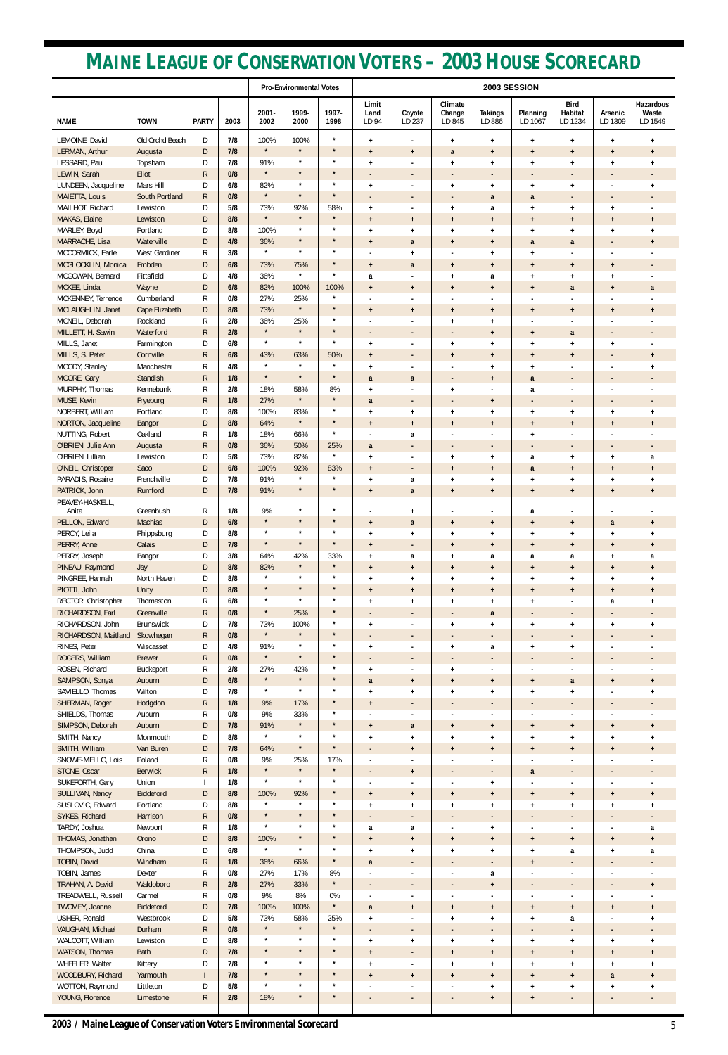|                                         |                            |                              |            |                    | <b>Pro-Environmental Votes</b> |                    |                                       | 2003 SESSION                               |                                       |                                                      |                                                      |                                       |                                       |                                     |
|-----------------------------------------|----------------------------|------------------------------|------------|--------------------|--------------------------------|--------------------|---------------------------------------|--------------------------------------------|---------------------------------------|------------------------------------------------------|------------------------------------------------------|---------------------------------------|---------------------------------------|-------------------------------------|
| <b>NAME</b>                             | <b>TOWN</b>                | <b>PARTY</b>                 | 2003       | 2001-<br>2002      | 1999-<br>2000                  | 1997-<br>1998      | Limit<br>Land<br>LD 94                | Coyote<br>LD 237                           | Climate<br>Change<br>LD 845           | <b>Takings</b><br>LD 886                             | Planning<br>LD 1067                                  | <b>Bird</b><br>Habitat<br>LD 1234     | Arsenic<br>LD 1309                    | Hazardous<br>Waste<br>LD 1549       |
| LEMOINE, David                          | Old Orchd Beach            | D                            | 7/8        | 100%               | 100%                           | $\star$            | $\ddot{}$                             | $\blacksquare$                             | $\ddot{}$                             | $+$                                                  | $\ddot{}$                                            | $\ddot{}$                             | $+$                                   | $\ddag$                             |
| LERMAN, Arthur                          | Augusta                    | D                            | 7/8        | $\star$            | $\star$<br>$\star$             | $\star$<br>$\star$ | $\ddot{}$                             | $\ddot{}$                                  | a                                     | $\pmb{+}$                                            | $\ddot{}$                                            | $\ddot{}$                             | $\ddot{}$                             | $\ddot{}$                           |
| LESSARD, Paul<br>LEWIN, Sarah           | Topsham<br>Eliot           | D<br>${\sf R}$               | 7/8<br>0/8 | 91%<br>$\star$     | $\star$                        | $\star$            | $\ddot{}$<br>$\blacksquare$           | $\overline{\phantom{a}}$                   | $\ddot{}$<br>$\overline{\phantom{a}}$ | $\ddag$<br>$\overline{\phantom{a}}$                  | $\ddot{}$<br>$\overline{\phantom{a}}$                | $\ddot{}$<br>$\overline{\phantom{a}}$ | $\ddot{}$                             | $\ddag$<br>$\overline{\phantom{a}}$ |
| LUNDEEN, Jacqueline                     | Mars Hill                  | D                            | 6/8        | 82%                | $\star$                        | $\star$            | $\ddot{}$                             | $\blacksquare$                             | $\ddot{}$                             | $\ddot{\phantom{1}}$                                 | $\ddot{}$                                            | $\ddot{}$                             |                                       | $\ddag$                             |
| <b>MAIETTA, Louis</b>                   | South Portland             | $\mathsf{R}$                 | 0/8        | $\star$            | $\star$                        | $\star$            | $\overline{\phantom{a}}$              | $\overline{\phantom{a}}$                   | $\overline{\phantom{a}}$              | a                                                    | a                                                    | $\overline{\phantom{a}}$              | $\overline{\phantom{a}}$              | $\overline{\phantom{a}}$            |
| MAILHOT, Richard<br>MAKAS, Elaine       | Lewiston<br>Lewiston       | D<br>D                       | 5/8<br>8/8 | 73%<br>$\star$     | 92%<br>$\star$                 | 58%<br>$\star$     | $\ddot{}$<br>$\ddot{}$                | $\ddot{}$                                  | $\ddot{}$<br>$\ddot{}$                | a<br>$\ddot{}$                                       | $\ddot{}$<br>$\ddot{}$                               | $\ddot{}$<br>$\ddot{}$                | $\ddot{}$<br>$\ddot{}$                | $\ddot{}$                           |
| MARLEY, Boyd                            | Portland                   | D                            | 8/8        | 100%               | $\star$                        | $\star$            | $\ddot{}$                             | $\ddot{}$                                  | $\ddot{}$                             | $\ddot{}$                                            | $\ddot{}$                                            | $\ddot{}$                             | $\ddot{}$                             | $\ddag$                             |
| MARRACHE, Lisa                          | Waterville                 | D                            | 4/8        | 36%                | $\star$                        | $\star$            | $\ddot{}$                             | a                                          | $\ddot{}$                             | $\ddot{}$                                            | a                                                    | a                                     | $\overline{\phantom{a}}$              | $\ddot{}$                           |
| MCCORMICK, Earle                        | West Gardiner<br>Embden    | R                            | 3/8<br>6/8 | $\star$<br>73%     | $\star$<br>75%                 | $\star$<br>$\star$ |                                       | $+$                                        |                                       | $+$                                                  | $\ddot{}$                                            |                                       |                                       |                                     |
| MCGLOCKLIN, Monica<br>MCGOWAN, Bernard  | Pittsfield                 | D<br>D                       | 4/8        | 36%                | $\star$                        | $\star$            | $\ddot{}$<br>a                        | a<br>$\blacksquare$                        | $\ddot{}$<br>$\ddot{}$                | $\pmb{+}$<br>a                                       | $\ddot{}$<br>$\ddot{}$                               | $\ddot{}$<br>$+$                      | $+$<br>$\ddot{}$                      |                                     |
| MCKEE, Linda                            | Wayne                      | D                            | 6/8        | 82%                | 100%                           | 100%               | $\ddot{}$                             | $\ddot{}$                                  | $\ddot{}$                             | $\ddot{}$                                            | $\ddot{}$                                            | a                                     | $\ddot{}$                             | a                                   |
| MCKENNEY, Terrence                      | Cumberland                 | R                            | 0/8        | 27%                | 25%<br>$\star$                 | $\star$<br>$\star$ |                                       |                                            |                                       | $\overline{\phantom{a}}$                             |                                                      |                                       |                                       |                                     |
| MCLAUGHLIN, Janet<br>MCNEIL, Deborah    | Cape Elizabeth<br>Rockland | D<br>R                       | 8/8<br>2/8 | 73%<br>36%         | 25%                            | $\star$            | $\ddot{}$                             | $\ddot{}$<br>$\blacksquare$                | $\ddot{}$<br>$\ddot{}$                | $\ddot{}$<br>$\ddot{}$                               | $\ddot{}$<br>$\overline{\phantom{a}}$                | $+$                                   | $\ddot{}$                             | $\ddot{}$                           |
| MILLETT, H. Sawin                       | Waterford                  | R                            | 2/8        | $\star$            | $\star$                        | $\star$            | $\overline{\phantom{a}}$              | $\overline{\phantom{a}}$                   | $\overline{\phantom{a}}$              | $\ddot{}$                                            | $\ddot{}$                                            | a                                     | $\overline{\phantom{a}}$              | $\overline{\phantom{a}}$            |
| MILLS, Janet                            | Farmington                 | D                            | 6/8        | $\star$            | $\star$                        | $\star$            | $\ddot{}$                             | $\blacksquare$                             | $\ddot{}$                             | $\ddag$                                              | $\ddot{}$                                            | $\ddot{}$                             | $+$                                   |                                     |
| MILLS, S. Peter<br>MOODY, Stanley       | Cornville<br>Manchester    | $\mathsf{R}$<br>R            | 6/8<br>4/8 | 43%<br>$\star$     | 63%<br>$\star$                 | 50%<br>$\star$     | $\ddot{}$                             | $\blacksquare$                             | $\ddot{}$                             | $\ddot{}$                                            | $\ddot{}$                                            | $+$                                   |                                       | $+$                                 |
| MOORE, Gary                             | Standish                   | $\mathsf{R}$                 | 1/8        | $\star$            | $\star$                        | $\star$            | $\ddot{}$<br>a                        | $\blacksquare$<br>a                        | $\overline{\phantom{a}}$              | $\ddot{}$<br>$\ddot{}$                               | $\ddot{}$<br>a                                       | $\overline{\phantom{a}}$              | $\overline{\phantom{a}}$              | $\ddag$<br>$\overline{\phantom{a}}$ |
| MURPHY, Thomas                          | Kennebunk                  | R                            | 2/8        | 18%                | 58%                            | 8%                 | $\ddot{}$                             |                                            | $\ddot{}$                             | г.                                                   | a                                                    |                                       |                                       |                                     |
| MUSE, Kevin                             | Fryeburg                   | $\mathsf{R}$                 | 1/8        | 27%                | $\star$                        | $\star$<br>$\star$ | a                                     | $\overline{\phantom{a}}$                   | $\overline{\phantom{a}}$              | $\ddot{}$                                            | $\overline{\phantom{a}}$                             | $\overline{\phantom{a}}$              | $\overline{\phantom{a}}$              | $\overline{\phantom{a}}$            |
| NORBERT, William<br>NORTON, Jacqueline  | Portland<br>Bangor         | D<br>D                       | 8/8<br>8/8 | 100%<br>64%        | 83%<br>$\star$                 | $\star$            | $\ddot{}$<br>$\ddot{}$                | $\ddot{}$<br>$\ddot{}$                     | $\ddot{}$<br>$\ddot{}$                | $\ddag$<br>$\ddot{}$                                 | $\ddot{}$<br>$\ddot{}$                               | $\ddot{}$<br>$+$                      | $\ddot{}$<br>$+$                      | $\ddag$<br>$\ddot{}$                |
| NUTTING, Robert                         | Oakland                    | R                            | 1/8        | 18%                | 66%                            | $\star$            |                                       | a                                          |                                       | ٠                                                    | $\ddot{}$                                            |                                       |                                       |                                     |
| O'BRIEN, Julie Ann                      | Augusta                    | $\mathsf{R}$                 | 0/8        | 36%                | 50%                            | 25%                | a                                     | $\overline{\phantom{a}}$                   |                                       | $\overline{\phantom{a}}$                             | $\overline{\phantom{a}}$                             |                                       |                                       | $\overline{\phantom{a}}$            |
| O'BRIEN, Lillian<br>O'NEIL, Christoper  | Lewiston<br>Saco           | D<br>D                       | 5/8<br>6/8 | 73%<br>100%        | 82%<br>92%                     | $\star$<br>83%     | $+$                                   | $\blacksquare$                             | $\ddot{}$                             | $\ddot{}$                                            | a                                                    | $\ddot{}$                             | $\ddot{}$                             | a                                   |
| PARADIS, Rosaire                        | Frenchville                | D                            | 7/8        | 91%                |                                |                    | $\ddot{}$<br>$\ddot{}$                | $\overline{\phantom{a}}$<br>a              | $\ddot{}$<br>$\ddot{}$                | $\ddot{}$<br>$\ddot{}$                               | a<br>$\ddot{}$                                       | $+$<br>$\ddot{}$                      | $\ddot{}$<br>$\ddot{}$                | $\ddot{}$<br>$\ddot{}$              |
| PATRICK, John<br>PEAVEY-HASKELL,        | Rumford                    | D                            | 7/8        | 91%                | $\star$<br>$\star$             | $\star$<br>$\star$ | $\begin{array}{c} + \end{array}$      | a                                          | $\ddot{}$                             | $\ddot{}$                                            | $\ddot{}$                                            | $\ddot{}$                             | $\ddot{}$                             | $\ddot{}$                           |
| Anita<br>PELLON, Edward                 | Greenbush<br>Machias       | R<br>D                       | 1/8<br>6/8 | 9%<br>$\star$      | $\star$                        | $\star$            | $\ddot{}$                             | $\ddot{}$<br>a                             | $\ddot{}$                             | $\blacksquare$<br>$\ddot{}$                          | a<br>$\ddot{}$                                       | $+$                                   | a                                     | $\ddot{}$                           |
| PERCY, Leila                            | Phippsburg                 | D                            | 8/8        | $\star$            | $\star$                        | $\star$            | $\ddot{}$                             | $\ddot{}$                                  | $\ddot{}$                             | $\ddot{}$                                            | $\ddot{}$                                            | $\ddot{}$                             | $\ddot{}$                             | $\ddot{}$                           |
| PERRY, Anne                             | Calais                     | $\mathsf{D}$                 | 7/8        | $\star$            | $\star$                        | $\star$            | $\begin{array}{c} + \end{array}$      | $\overline{\phantom{a}}$                   | $\ddot{}$                             | $\pmb{+}$                                            | $\ddot{}$                                            | $\ddot{}$                             | $+$                                   | $\ddot{}$                           |
| PERRY, Joseph<br>PINEAU, Raymond        | Bangor<br>Jay              | D<br>D                       | 3/8<br>8/8 | 64%<br>82%         | 42%<br>$\star$                 | 33%<br>$\star$     | $\ddot{}$<br>$\ddot{}$                | a<br>$\ddot{}$                             | $\ddot{}$<br>$\ddot{}$                | a<br>$\ddot{}$                                       | a<br>$\ddot{}$                                       | a<br>$\ddot{}$                        | $+$<br>$\ddot{}$                      | a<br>$\ddot{}$                      |
| PINGREE, Hannah                         | North Haven                | D                            | 8/8        | $\star$            | $\star$                        | $\star$            | $\ddot{}$                             | $+$                                        | $\ddot{}$                             | $\pmb{+}$                                            | $\pmb{+}$                                            | $\ddot{}$                             | $\ddot{}$                             | $\ddot{}$                           |
| PIOTTI, John                            | Unity                      | D                            | 8/8        | $\star$            | $\star$                        | $\star$            | $\ddot{}$                             | $\ddot{}$                                  | $\ddot{}$                             | $\pmb{+}$                                            | $\ddot{}$                                            | $\ddot{}$                             | $\ddot{}$                             | $\ddot{}$                           |
| RECTOR, Christopher<br>RICHARDSON, Earl | Thomaston<br>Greenville    | R<br>R.                      | 6/8<br>0/8 | $\star$<br>$\star$ | $\star$<br>25%                 | $\star$<br>$\star$ | $\ddot{}$                             | $\ddot{}$                                  | $\ddot{}$                             | $\ddot{\phantom{1}}$                                 | $\ddot{}$                                            |                                       | a                                     | $\ddag$                             |
| RICHARDSON, John                        | Brunswick                  | D                            | 7/8        | 73%                | 100%                           | $\star$            | $\overline{\phantom{a}}$<br>$\ddot{}$ | $\blacksquare$                             | $\overline{\phantom{a}}$<br>$\ddot{}$ | a<br>$\ddot{}$                                       | $\overline{\phantom{a}}$<br>$\ddot{}$                | $\ddot{}$                             | $\ddot{}$                             | $\ddot{}$                           |
| RICHARDSON, Maitland                    | Skowhegan                  | $\mathsf{R}$                 | 0/8        | $\star$            | $\star$                        | $\star$            | $\blacksquare$                        | $\blacksquare$                             |                                       | $\overline{\phantom{a}}$                             | $\blacksquare$                                       |                                       |                                       |                                     |
| RINES, Peter                            | Wiscasset                  | D                            | 4/8        | 91%<br>$\star$     | $\star$<br>$\star$             | $\star$<br>$\star$ | $\ddot{}$                             | $\overline{\phantom{a}}$                   | $\ddot{}$                             | a                                                    | $\ddot{}$                                            | $\ddot{}$                             |                                       |                                     |
| ROGERS, William<br>ROSEN, Richard       | <b>Brewer</b><br>Bucksport | R<br>R                       | 0/8<br>2/8 | 27%                | 42%                            | $\star$            | $\overline{\phantom{a}}$<br>$\ddot{}$ | $\blacksquare$<br>$\blacksquare$           | $\overline{\phantom{a}}$<br>$\ddot{}$ | $\blacksquare$<br>$\overline{a}$                     | $\overline{\phantom{a}}$<br>$\overline{\phantom{a}}$ | $\overline{\phantom{a}}$              | $\overline{\phantom{a}}$              |                                     |
| SAMPSON, Sonya                          | Auburn                     | D                            | 6/8        | $\star$            | $\star$                        | $\star$            | a                                     | $\ddot{}$                                  | $\ddot{}$                             | $\pmb{+}$                                            | $\ddot{}$                                            | a                                     | $\ddot{}$                             | $\ddot{}$                           |
| SAVIELLO, Thomas                        | Wilton                     | D                            | 7/8        | $\star$            | $\star$                        | $\star$            | $\ddot{}$                             | $\ddot{}$                                  | $\ddot{}$                             | $\ddot{}$                                            | $\ddot{}$                                            | $\ddot{}$                             |                                       | $\ddot{\phantom{1}}$                |
| SHERMAN, Roger<br>SHIELDS, Thomas       | Hodgdon<br>Auburn          | R.                           | 1/8<br>0/8 | 9%<br>9%           | 17%<br>33%                     | $\star$<br>$\star$ | $\ddot{}$                             | $\overline{\phantom{a}}$<br>$\blacksquare$ | $\overline{\phantom{a}}$              | $\overline{\phantom{a}}$                             | $\overline{\phantom{a}}$                             |                                       | $\overline{\phantom{a}}$              |                                     |
| SIMPSON, Deborah                        | Auburn                     | R<br>$\mathsf{D}$            | 7/8        | 91%                | $\star$                        | $\star$            | $\ddot{}$                             | a                                          | $\ddot{}$                             | $\blacksquare$<br>$\pmb{+}$                          | $\ddot{}$                                            | $\ddot{}$                             | $+$                                   | $\ddot{}$                           |
| SMITH, Nancy                            | Monmouth                   | D                            | 8/8        | $\star$            | $\star$                        | $\star$            | $\ddot{}$                             | $+$                                        | $\ddot{}$                             | $\pmb{+}$                                            | $\ddot{}$                                            | $\ddot{}$                             | $\ddot{}$                             | $\ddot{}$                           |
| SMITH, William<br>SNOWE-MELLO, Lois     | Van Buren<br>Poland        | $\mathsf{D}$<br>R            | 7/8<br>0/8 | 64%<br>9%          | $\star$<br>25%                 | $\star$<br>17%     | $\blacksquare$                        | $\ddot{}$                                  | $\ddot{}$                             | $+$                                                  | $\ddot{}$                                            | $\ddot{}$                             | $\ddot{}$                             | $\ddot{}$                           |
| STONE, Oscar                            | <b>Berwick</b>             | $\mathsf{R}$                 | 1/8        | $\star$            | $\star$                        | $\star$            | $\blacksquare$<br>$\blacksquare$      | $\blacksquare$<br>$\ddot{}$                |                                       | $\overline{\phantom{a}}$<br>$\overline{\phantom{a}}$ | $\blacksquare$<br>a                                  |                                       |                                       |                                     |
| SUKEFORTH, Gary                         | Union                      | $\mathbf{I}$                 | 1/8        | $\star$            | $\star$                        | $\star$            |                                       |                                            |                                       | $\pmb{+}$                                            |                                                      |                                       |                                       |                                     |
| SULLIVAN, Nancy                         | Biddeford                  | D                            | 8/8        | 100%<br>$\star$    | 92%<br>$\star$                 | $\star$<br>$\star$ | $\ddot{}$                             | $\ddot{}$                                  | $\ddot{}$                             | $\ddot{}$                                            | $\ddot{}$                                            | $\ddot{}$                             | $+$                                   | $+$                                 |
| SUSLOVIC, Edward<br>SYKES, Richard      | Portland<br>Harrison       | D<br>$\mathsf{R}$            | 8/8<br>0/8 | $\star$            | $\star$                        | $\star$            | $\ddot{}$                             | $\ddot{}$<br>$\overline{\phantom{a}}$      | $\ddot{}$<br>$\overline{\phantom{a}}$ | $\pmb{+}$<br>$\overline{\phantom{a}}$                | $\ddot{}$<br>$\overline{\phantom{a}}$                | $\ddot{}$<br>$\overline{\phantom{a}}$ | $\ddot{}$<br>$\overline{\phantom{a}}$ | $\ddot{}$                           |
| TARDY, Joshua                           | Newport                    | R                            | 1/8        | $\star$            | $\star$                        | $\star$            | a                                     | a                                          | $\overline{\phantom{a}}$              | $\ddot{}$                                            | $\overline{\phantom{a}}$                             |                                       |                                       | a                                   |
| THOMAS, Jonathan                        | Orono                      | D                            | 8/8        | 100%               | $\star$                        | $\star$            | $\begin{array}{c} + \end{array}$      | $\ddot{}$                                  | $\ddot{}$                             | $\ddot{}$                                            | $\ddot{}$                                            | $\ddot{}$                             | $+$                                   | $\ddot{}$                           |
| THOMPSON, Judd<br>TOBIN, David          | China<br>Windham           | D<br>${\sf R}$               | 6/8<br>1/8 | $\star$<br>36%     | $\star$<br>66%                 | $\star$<br>$\star$ | $\ddot{}$<br>a                        | $\ddot{}$                                  | $\ddot{}$                             | $\pmb{+}$                                            | $\pmb{+}$                                            | a                                     | $\ddot{}$                             | a                                   |
| TOBIN, James                            | Dexter                     | R                            | 0/8        | 27%                | 17%                            | 8%                 |                                       |                                            |                                       | $\overline{\phantom{a}}$<br>a                        | $\ddot{}$                                            |                                       |                                       |                                     |
| TRAHAN, A. David                        | Waldoboro                  | $\mathsf{R}$                 | 2/8        | 27%                | 33%                            | $\star$            |                                       | $\overline{\phantom{a}}$                   | $\overline{\phantom{a}}$              | $\ddot{}$                                            | $\overline{\phantom{a}}$                             | $\overline{\phantom{a}}$              | ٠                                     | $+$                                 |
| TREADWELL, Russell<br>TWOMEY, Joanne    | Carmel<br>Biddeford        | $\mathsf{R}$<br>$\mathsf{D}$ | 0/8<br>7/8 | 9%<br>100%         | 8%<br>100%                     | 0%<br>$\star$      |                                       |                                            | $\blacksquare$                        | $\blacksquare$                                       |                                                      |                                       |                                       |                                     |
| USHER, Ronald                           | Westbrook                  | D                            | 5/8        | 73%                | 58%                            | 25%                | a<br>$\ddot{}$                        | $\ddot{}$<br>$\overline{\phantom{a}}$      | $\pmb{+}$<br>$\pmb{+}$                | $\pmb{+}$<br>$\ddot{}$                               | $\begin{array}{c} + \end{array}$<br>$\pmb{+}$        | $\pmb{+}$<br>a                        | $+$                                   | $\pmb{+}$<br>$\ddot{}$              |
| VAUGHAN, Michael                        | Durham                     | $\mathsf{R}$                 | 0/8        | $\star$            | $\star$                        | $\star$            | ٠                                     | $\overline{\phantom{a}}$                   | $\overline{\phantom{a}}$              | $\overline{\phantom{a}}$                             | $\overline{\phantom{a}}$                             | $\overline{\phantom{a}}$              | ٠                                     | $\overline{\phantom{a}}$            |
| WALCOTT, William                        | Lewiston                   | D                            | 8/8        | $\star$<br>$\star$ | $\star$<br>$\star$             | $\star$<br>$\star$ | $\ddot{}$                             | $+$                                        | $\ddot{}$                             | $+$                                                  | $\pmb{+}$                                            | $\ddot{}$                             | $+$                                   | $\ddot{}$                           |
| WATSON, Thomas<br>WHEELER, Walter       | Bath<br>Kittery            | $\mathsf{D}$<br>D            | 7/8<br>7/8 | $\star$            | $\star$                        | $\star$            | $\ddot{}$<br>$\pmb{+}$                | $\overline{\phantom{a}}$                   | $\pmb{+}$<br>$\pmb{+}$                | $\begin{array}{c} + \end{array}$<br>$+$              | $\begin{array}{c} + \end{array}$<br>$\pmb{+}$        | $\pmb{+}$<br>$\ddot{}$                | $\pmb{+}$<br>$\ddot{}$                | $\pmb{+}$<br>$\ddot{}$              |
| WOODBURY, Richard                       | Yarmouth                   | $\mathbf{I}$                 | 7/8        | $\star$            | $\star$                        | $\star$            | $\ddot{}$                             | $\ddot{}$                                  | $\ddot{}$                             | $\ddot{}$                                            | $\ddot{}$                                            | $\pmb{+}$                             | a                                     | $\ddot{}$                           |
| WOTTON, Raymond                         | Littleton                  | D                            | 5/8        | $\star$            | $\star$<br>$\star$             | $\star$<br>$\star$ |                                       | $\overline{\phantom{a}}$                   |                                       | $+$                                                  | $\pmb{+}$                                            | $\ddot{}$                             | $\ddot{}$                             | $\ddot{}$                           |
| YOUNG, Florence                         | Limestone                  | ${\sf R}$                    | $2/8$      | 18%                |                                |                    | ٠                                     | $\overline{\phantom{a}}$                   | ٠                                     | $\pmb{+}$                                            | $\pmb{+}$                                            | ٠                                     |                                       |                                     |

# **MAINE LEAGUE OF CONSERVATION VOTERS – 2003 HOUSE SCORECARD**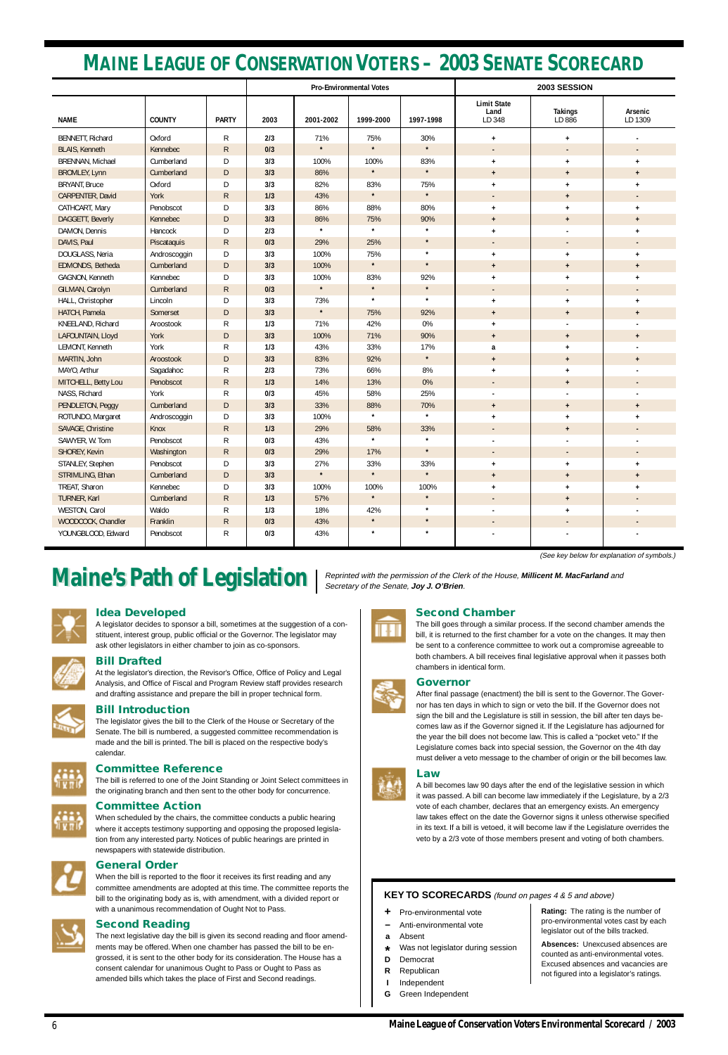### **Idea Developed**

A legislator decides to sponsor a bill, sometimes at the suggestion of a constituent, interest group, public official or the Governor. The legislator may ask other legislators in either chamber to join as co-sponsors.



### **Bill Drafted**

At the legislator's direction, the Revisor's Office, Office of Policy and Legal Analysis, and Office of Fiscal and Program Review staff provides research and drafting assistance and prepare the bill in proper technical form.



### **Bill Introduction**

The legislator gives the bill to the Clerk of the House or Secretary of the Senate. The bill is numbered, a suggested committee recommendation is made and the bill is printed. The bill is placed on the respective body's calendar.

## **Committee Reference**

The bill is referred to one of the Joint Standing or Joint Select committees in the originating branch and then sent to the other body for concurrence.



### **Committee Action**

When scheduled by the chairs, the committee conducts a public hearing where it accepts testimony supporting and opposing the proposed legislation from any interested party. Notices of public hearings are printed in newspapers with statewide distribution.

### **General Order**

When the bill is reported to the floor it receives its first reading and any committee amendments are adopted at this time. The committee reports the bill to the originating body as is, with amendment, with a divided report or with a unanimous recommendation of Ought Not to Pass.

### **Second Reading**

The next legislative day the bill is given its second reading and floor amendments may be offered. When one chamber has passed the bill to be engrossed, it is sent to the other body for its consideration. The House has a consent calendar for unanimous Ought to Pass or Ought to Pass as amended bills which takes the place of First and Second readings.

### **Second Chamber**

The bill goes through a similar process. If the second chamber amends the bill, it is returned to the first chamber for a vote on the changes. It may then be sent to a conference committee to work out a compromise agreeable to both chambers. A bill receives final legislative approval when it passes both chambers in identical form.

### **Governor**





A bill becomes law 90 days after the end of the legislative session in which it was passed. A bill can become law immediately if the Legislature, by a 2/3 vote of each chamber, declares that an emergency exists. An emergency law takes effect on the date the Governor signs it unless otherwise specified in its text. If a bill is vetoed, it will become law if the Legislature overrides the veto by a 2/3 vote of those members present and voting of both chambers.



<u>I V 17 I</u>

6

# **MAINE LEAGUE OF CONSERVATION VOTERS – 2003 SENATE SCORECARD**

(See key below for explanation of symbols.)

# **Maine's Path of Legislation** | Reprinted with the permission of the Clerk of the House, Millicent M. MacFarland and

|                       |               |               |      |           | <b>Pro-Environmental Votes</b> |           | 2003 SESSION                         |                          |                          |  |  |
|-----------------------|---------------|---------------|------|-----------|--------------------------------|-----------|--------------------------------------|--------------------------|--------------------------|--|--|
| <b>NAME</b>           | <b>COUNTY</b> | <b>PARTY</b>  | 2003 | 2001-2002 | 1999-2000                      | 1997-1998 | <b>Limit State</b><br>Land<br>LD 348 | <b>Takings</b><br>LD 886 | Arsenic<br>LD 1309       |  |  |
| BENNETT, Richard      | Oxford        | R             | 2/3  | 71%       | 75%                            | 30%       | $\ddot{}$                            | $+$                      |                          |  |  |
| <b>BLAIS, Kenneth</b> | Kennebec      | $\mathsf{R}$  | 0/3  | $\star$   | $\star$                        | $\star$   | $\overline{\phantom{a}}$             |                          |                          |  |  |
| BRENNAN, Michael      | Cumberland    | D             | 3/3  | 100%      | 100%                           | 83%       | $\ddot{}$                            | $\ddot{}$                | $\ddot{}$                |  |  |
| <b>BROMLEY, Lynn</b>  | Cumberland    | D             | 3/3  | 86%       | $\star$                        | $\star$   | $\ddot{}$                            | $\mathbf +$              | $\ddot{}$                |  |  |
| <b>BRYANT, Bruce</b>  | Oxford        | D             | 3/3  | 82%       | 83%                            | 75%       | $\ddot{}$                            | $\pmb{+}$                | $\ddot{}$                |  |  |
| CARPENTER, David      | York          | $\mathsf{R}$  | 1/3  | 43%       | $\star$                        | $\star$   |                                      | $\mathbf +$              |                          |  |  |
| CATHCART, Mary        | Penobscot     | D             | 3/3  | 86%       | 88%                            | 80%       | $\ddot{}$                            | $\ddot{}$                | $\ddot{}$                |  |  |
| DAGGETT, Beverly      | Kennebec      | D             | 3/3  | 86%       | 75%                            | 90%       | $+$                                  | $+$                      | $\ddot{}$                |  |  |
| DAMON, Dennis         | Hancock       | D             | 2/3  | $\star$   | $\star$                        | $\star$   | $\ddot{}$                            |                          | $\ddot{}$                |  |  |
| DAVIS, Paul           | Piscataquis   | $\mathsf{R}$  | 0/3  | 29%       | 25%                            | $\star$   | $\blacksquare$                       | $\overline{\phantom{a}}$ |                          |  |  |
| DOUGLASS, Neria       | Androscoggin  | D             | 3/3  | 100%      | 75%                            | $\star$   | $\ddot{}$                            | $+$                      | $\ddot{}$                |  |  |
| EDMONDS, Betheda      | Cumberland    | $\mathsf D$   | 3/3  | 100%      | $\star$                        | $\star$   | $\ddot{}$                            | $\ddot{}$                | $\ddot{}$                |  |  |
| GAGNON, Kenneth       | Kennebec      | D             | 3/3  | 100%      | 83%                            | 92%       | $\ddot{}$                            | $\ddot{}$                | $\ddot{}$                |  |  |
| GILMAN, Carolyn       | Cumberland    | $\mathsf{R}$  | 0/3  | $\star$   | $\star$                        | $\star$   |                                      | $\overline{\phantom{a}}$ |                          |  |  |
| HALL, Christopher     | Lincoln       | D             | 3/3  | 73%       | $\star$                        | $\star$   | $\ddot{}$                            | $\pmb{+}$                | $\ddot{}$                |  |  |
| HATCH, Pamela         | Somerset      | D             | 3/3  | $\star$   | 75%                            | 92%       | $+$                                  | $+$                      | $\ddot{}$                |  |  |
| KNEELAND, Richard     | Aroostook     | R             | 1/3  | 71%       | 42%                            | 0%        | $\ddot{}$                            |                          |                          |  |  |
| LAFOUNTAIN, Lloyd     | York          | $\mathsf{D}%$ | 3/3  | 100%      | 71%                            | 90%       | $+$                                  | $+$                      | $\ddot{}$                |  |  |
| LEMONT, Kenneth       | York          | R             | 1/3  | 43%       | 33%                            | 17%       | a                                    | $\ddot{}$                |                          |  |  |
| MARTIN, John          | Aroostook     | D             | 3/3  | 83%       | 92%                            | $\star$   | $+$                                  | $\ddot{}$                | $\ddot{}$                |  |  |
| MAYO, Arthur          | Sagadahoc     | R             | 2/3  | 73%       | 66%                            | $8\%$     | $\ddot{}$                            | $\ddot{}$                |                          |  |  |
| MITCHELL, Betty Lou   | Penobscot     | $\mathsf{R}$  | 1/3  | 14%       | 13%                            | 0%        |                                      | $+$                      |                          |  |  |
| NASS, Richard         | York          | R             | 0/3  | 45%       | 58%                            | 25%       |                                      |                          |                          |  |  |
| PENDLETON, Peggy      | Cumberland    | D             | 3/3  | 33%       | 88%                            | 70%       | $+$                                  | $\ddot{}$                | $\ddot{}$                |  |  |
| ROTUNDO, Margaret     | Androscoggin  | D             | 3/3  | 100%      | $\star$                        | $\star$   | $\ddot{}$                            | $\ddot{}$                | $\ddot{}$                |  |  |
| SAVAGE, Christine     | Knox          | $\mathsf{R}$  | 1/3  | 29%       | 58%                            | 33%       |                                      | $\mathbf +$              |                          |  |  |
| SAWYER, W. Tom        | Penobscot     | R             | 0/3  | 43%       | $\star$                        | $\star$   |                                      |                          |                          |  |  |
| SHOREY, Kevin         | Washington    | $\mathsf{R}$  | 0/3  | 29%       | 17%                            | $\star$   |                                      | $\centerdot$             |                          |  |  |
| STANLEY, Stephen      | Penobscot     | D             | 3/3  | 27%       | 33%                            | 33%       | $\ddot{}$                            | $\ddot{}$                | $\ddot{}$                |  |  |
| STRIMLING, Ethan      | Cumberland    | D             | 3/3  | $\star$   | $\star$                        | $\star$   | $\ddot{}$                            | $\overline{1}$           | $\ddot{}$                |  |  |
| TREAT, Sharon         | Kennebec      | D             | 3/3  | 100%      | 100%                           | 100%      | $\begin{array}{c} + \end{array}$     | $+$                      | $\ddot{}$                |  |  |
| TURNER, Karl          | Cumberland    | ${\sf R}$     | 1/3  | 57%       | $\star$                        | $\star$   | $\blacksquare$                       | $\pm$                    | $\overline{\phantom{a}}$ |  |  |
| WESTON, Carol         | Waldo         | $\mathsf{R}$  | 1/3  | 18%       | 42%                            | $\star$   |                                      | $+$                      |                          |  |  |
| WOODCOCK, Chandler    | Franklin      | ${\sf R}$     | 0/3  | 43%       | $\star$                        | $\star$   | ٠                                    | ٠                        |                          |  |  |
| YOUNGBLOOD, Edward    | Penobscot     | $\mathsf{R}$  | 0/3  | 43%       | $\star$                        | $\star$   | $\blacksquare$                       | $\blacksquare$           | $\blacksquare$           |  |  |

Secretary of the Senate, **Joy J. O'Brien**.



- **+** Pro-environmental vote
- **–** Anti-environmental vote
- **a** Absent
- **\*** Was not legislator during session
- **D** Democrat
- **R** Republican
- **I** Independent
- **G** Green Independent

### **KEY TO SCORECARDS** (found on pages 4 & 5 and above)

**Rating:** The rating is the number of pro-environmental votes cast by each legislator out of the bills tracked.

**Absences:** Unexcused absences are counted as anti-environmental votes. Excused absences and vacancies are not figured into a legislator's ratings.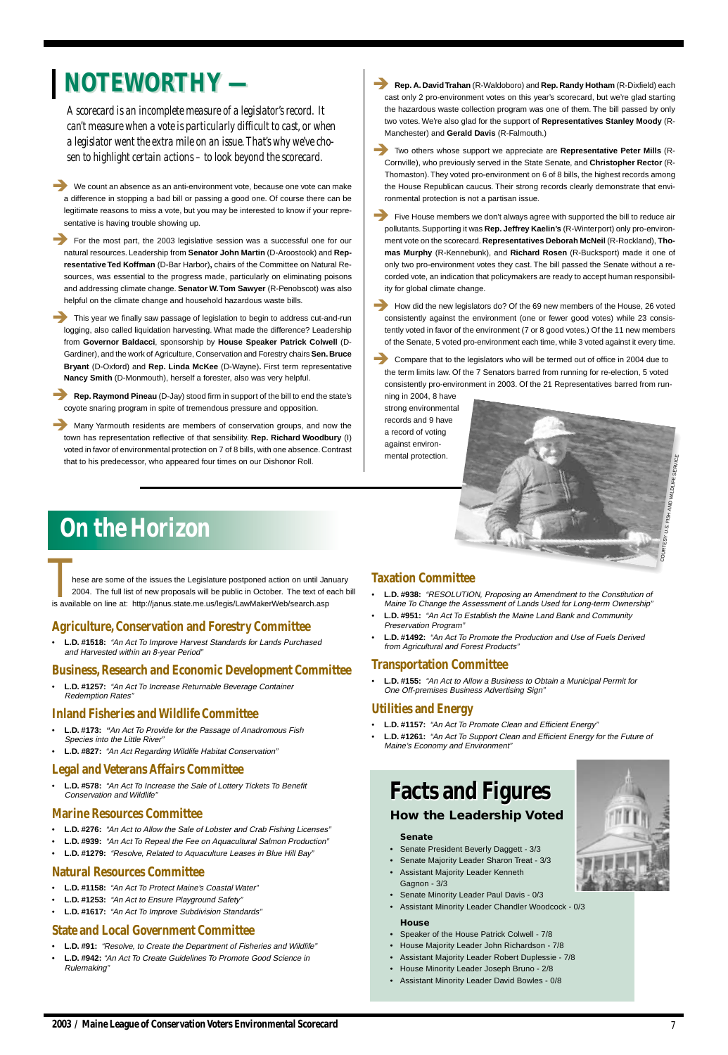*A scorecard is an incomplete measure of a legislator's record. It can't measure when a vote is particularly difficult to cast, or when a legislator went the extra mile on an issue. That's why we've chosen to highlight certain actions – to look beyond the scorecard.*

**1989** We count an absence as an anti-environment vote, because one vote can make a difference in stopping a bad bill or passing a good one. Of course there can be legitimate reasons to miss a vote, but you may be interested to know if your representative is having trouble showing up.

This year we finally saw passage of legislation to begin to address cut-and-run logging, also called liquidation harvesting. What made the difference? Leadership from **Governor Baldacci**, sponsorship by **House Speaker Patrick Colwell** (D-Gardiner), and the work of Agriculture, Conservation and Forestry chairs **Sen. Bruce Bryant** (D-Oxford) and **Rep. Linda McKee** (D-Wayne)**.** First term representative **Nancy Smith** (D-Monmouth), herself a forester, also was very helpful.

! For the most part, the 2003 legislative session was a successful one for our natural resources. Leadership from **Senator John Martin** (D-Aroostook) and **Representative Ted Koffman** (D-Bar Harbor)**,** chairs of the Committee on Natural Resources, was essential to the progress made, particularly on eliminating poisons and addressing climate change. **Senator W. Tom Sawyer** (R-Penobscot) was also helpful on the climate change and household hazardous waste bills.

Many Yarmouth residents are members of conservation groups, and now the town has representation reflective of that sensibility. **Rep. Richard Woodbury** (I) voted in favor of environmental protection on 7 of 8 bills, with one absence. Contrast that to his predecessor, who appeared four times on our Dishonor Roll.

**NOTEWORTHY** — **Dep. A. David Trahan** (R-Waldoboro) and Rep. Randy Hotham (R-Dixfield) each cast only 2 pro-environment votes on this year's scorecard, but we're glad starting the hazardous waste collection program was one of them. The bill passed by only two votes. We're also glad for the support of **Representatives Stanley Moody** (R-Manchester) and **Gerald Davis** (R-Falmouth.)

! **Rep. Raymond Pineau** (D-Jay) stood firm in support of the bill to end the state's coyote snaring program in spite of tremendous pressure and opposition.

**EXECOMPARE STATES IN A COMPARE THAT A COMPARE THAT A COMPARE THAT A COMPARE THE US COMPARE TO COMPARE THE COMPARE OF COMPARE TO COMPARE THE COMPARE OF COMPARE TO COMPARE THE COMPARE OF COMPARE TO COMPARE THE COMPARE OF CO** the term limits law. Of the 7 Senators barred from running for re-election, 5 voted consistently pro-environment in 2003. Of the 21 Representatives barred from running in 2004, 8 have

hese are some of the issues the Legislature postponed action on until January 2004. The full list of new proposals will be public in October. The text of each bill is available on line at: http://janus.state.me.us/legis/LawMakerWeb/search.asp TRACTIVE TRACTIVE<br>
TRACTIVE TRACTIVE<br>
TRACTION COMMITTEE<br>
2004. The full list of new proposals will be public in October. The text of each bill<br>
is available on line at: http://janus.state.me.us/legis/LawMakerWeb/search.as

7

! Two others whose support we appreciate are **Representative Peter Mills** (R-Cornville), who previously served in the State Senate, and **Christopher Rector** (R-Thomaston). They voted pro-environment on 6 of 8 bills, the highest records among the House Republican caucus. Their strong records clearly demonstrate that environmental protection is not a partisan issue.

! Five House members we don't always agree with supported the bill to reduce air pollutants. Supporting it was **Rep. Jeffrey Kaelin's** (R-Winterport) only pro-environment vote on the scorecard. **Representatives Deborah McNeil** (R-Rockland), **Thomas Murphy** (R-Kennebunk), and **Richard Rosen** (R-Bucksport) made it one of only two pro-environment votes they cast. The bill passed the Senate without a recorded vote, an indication that policymakers are ready to accept human responsibility for global climate change.

# **Facts and Figures Facts and Figures How the Leadership Voted**



! How did the new legislators do? Of the 69 new members of the House, 26 voted consistently against the environment (one or fewer good votes) while 23 consistently voted in favor of the environment (7 or 8 good votes.) Of the 11 new members of the Senate, 5 voted pro-environment each time, while 3 voted against it every time.

strong environmental records and 9 have a record of voting against environmental protection.

WILDLIFE SERVICE

## **Agriculture, Conservation and Forestry Committee**

• **L.D. #1518:** "An Act To Improve Harvest Standards for Lands Purchased and Harvested within an 8-year Period"

# **Business, Research and Economic Development Committee**

• **L.D. #1257:** "An Act To Increase Returnable Beverage Container Redemption Rates"

# **Inland Fisheries and Wildlife Committee**

- **L.D. #173: "**An Act To Provide for the Passage of Anadromous Fish Species into the Little River"
- **L.D. #827:** "An Act Regarding Wildlife Habitat Conservation"

# **Legal and Veterans Affairs Committee**

• **L.D. #578:** "An Act To Increase the Sale of Lottery Tickets To Benefit Conservation and Wildlife"

# **Marine Resources Committee**

- **L.D. #276:** "An Act to Allow the Sale of Lobster and Crab Fishing Licenses"
- **L.D. #939:** "An Act To Repeal the Fee on Aquacultural Salmon Production"
- **L.D. #1279:** "Resolve, Related to Aquaculture Leases in Blue Hill Bay"

# **Natural Resources Committee**

- **L.D. #1158:** "An Act To Protect Maine's Coastal Water"
- **L.D. #1253:** "An Act to Ensure Playground Safety"
- **L.D. #1617:** "An Act To Improve Subdivision Standards"

# **State and Local Government Committee**

- **L.D. #91:** "Resolve, to Create the Department of Fisheries and Wildlife"
- **L.D. #942:** "An Act To Create Guidelines To Promote Good Science in Rulemaking"

## **Taxation Committee**

- **L.D. #938:** "RESOLUTION, Proposing an Amendment to the Constitution of Maine To Change the Assessment of Lands Used for Long-term Ownership"
- **L.D. #951:** "An Act To Establish the Maine Land Bank and Community Preservation Program"
- **L.D. #1492:** "An Act To Promote the Production and Use of Fuels Derived from Agricultural and Forest Products"

### **Transportation Committee**

• **L.D. #155:** "An Act to Allow a Business to Obtain a Municipal Permit for One Off-premises Business Advertising Sign"

# **Utilities and Energy**

- **L.D. #1157:** "An Act To Promote Clean and Efficient Energy"
- **L.D. #1261:** "An Act To Support Clean and Efficient Energy for the Future of Maine's Economy and Environment"

# **On the Horizon**

### **Senate**

- Senate President Beverly Daggett 3/3
- Senate Majority Leader Sharon Treat 3/3
- Assistant Majority Leader Kenneth Gagnon - 3/3
- Senate Minority Leader Paul Davis 0/3
- Assistant Minority Leader Chandler Woodcock 0/3

### **House**

- Speaker of the House Patrick Colwell 7/8
- House Majority Leader John Richardson 7/8
- Assistant Majority Leader Robert Duplessie 7/8
- House Minority Leader Joseph Bruno 2/8
- Assistant Minority Leader David Bowles 0/8

.S. FISH AND